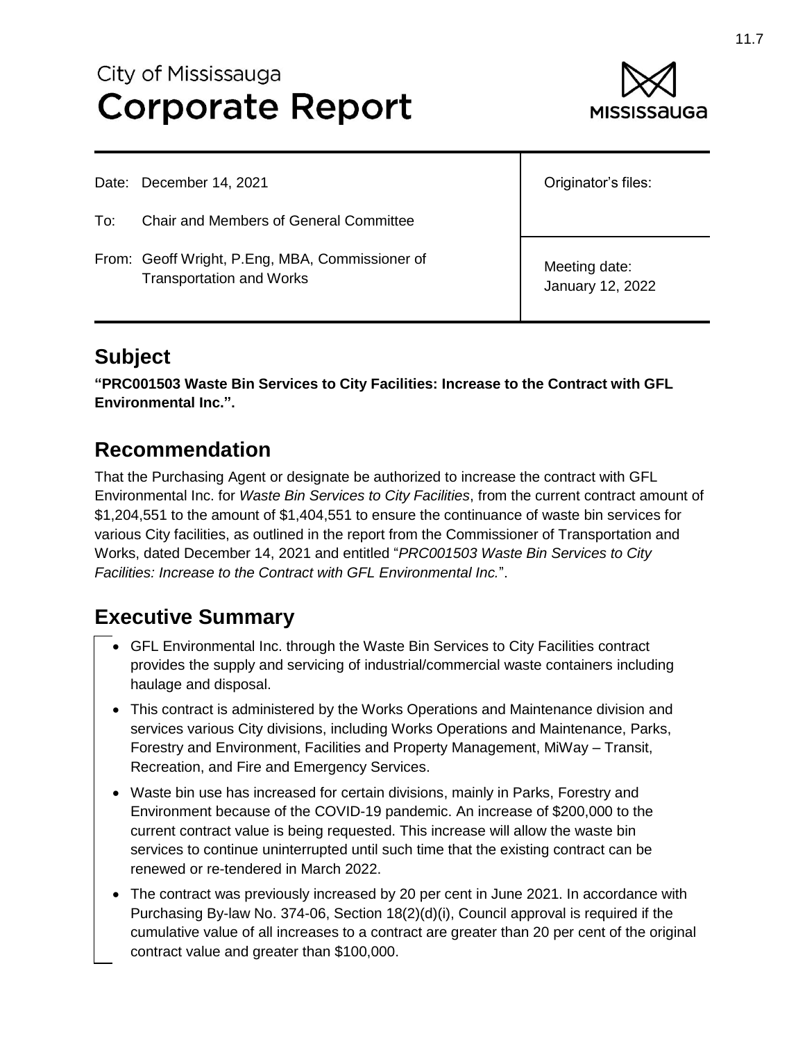# City of Mississauga **Corporate Report**



Date: December 14, 2021

To: Chair and Members of General Committee

From: Geoff Wright, P.Eng, MBA, Commissioner of Transportation and Works

Originator's files:

Meeting date: January 12, 2022

# **Subject**

**"PRC001503 Waste Bin Services to City Facilities: Increase to the Contract with GFL Environmental Inc.".**

#### **Recommendation**

That the Purchasing Agent or designate be authorized to increase the contract with GFL Environmental Inc. for *Waste Bin Services to City Facilities*, from the current contract amount of \$1,204,551 to the amount of \$1,404,551 to ensure the continuance of waste bin services for various City facilities, as outlined in the report from the Commissioner of Transportation and Works, dated December 14, 2021 and entitled "*PRC001503 Waste Bin Services to City Facilities: Increase to the Contract with GFL Environmental Inc.*".

# **Executive Summary**

- GFL Environmental Inc. through the Waste Bin Services to City Facilities contract provides the supply and servicing of industrial/commercial waste containers including haulage and disposal.
- This contract is administered by the Works Operations and Maintenance division and services various City divisions, including Works Operations and Maintenance, Parks, Forestry and Environment, Facilities and Property Management, MiWay – Transit, Recreation, and Fire and Emergency Services.
- Waste bin use has increased for certain divisions, mainly in Parks, Forestry and Environment because of the COVID-19 pandemic. An increase of \$200,000 to the current contract value is being requested. This increase will allow the waste bin services to continue uninterrupted until such time that the existing contract can be renewed or re-tendered in March 2022.
- The contract was previously increased by 20 per cent in June 2021. In accordance with Purchasing By-law No. 374-06, Section 18(2)(d)(i), Council approval is required if the cumulative value of all increases to a contract are greater than 20 per cent of the original contract value and greater than \$100,000.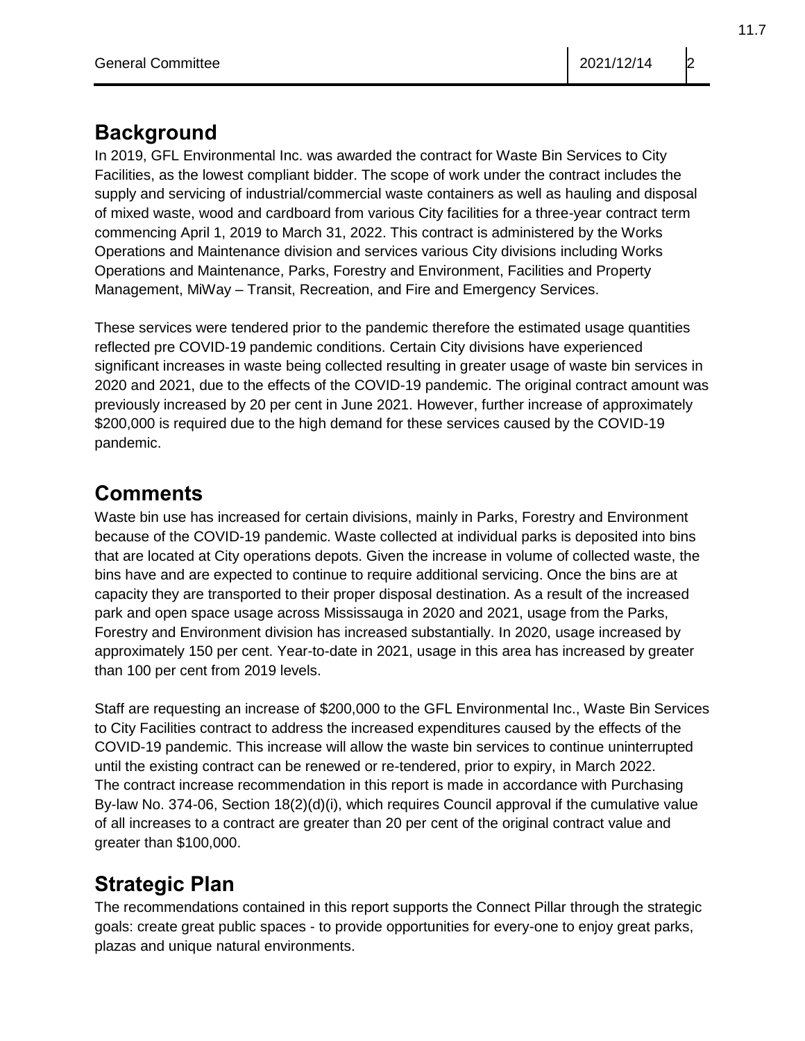#### **Background**

In 2019, GFL Environmental Inc. was awarded the contract for Waste Bin Services to City Facilities, as the lowest compliant bidder. The scope of work under the contract includes the supply and servicing of industrial/commercial waste containers as well as hauling and disposal of mixed waste, wood and cardboard from various City facilities for a three-year contract term commencing April 1, 2019 to March 31, 2022. This contract is administered by the Works Operations and Maintenance division and services various City divisions including Works Operations and Maintenance, Parks, Forestry and Environment, Facilities and Property Management, MiWay – Transit, Recreation, and Fire and Emergency Services.

These services were tendered prior to the pandemic therefore the estimated usage quantities reflected pre COVID-19 pandemic conditions. Certain City divisions have experienced significant increases in waste being collected resulting in greater usage of waste bin services in 2020 and 2021, due to the effects of the COVID-19 pandemic. The original contract amount was previously increased by 20 per cent in June 2021. However, further increase of approximately \$200,000 is required due to the high demand for these services caused by the COVID-19 pandemic.

### **Comments**

Waste bin use has increased for certain divisions, mainly in Parks, Forestry and Environment because of the COVID-19 pandemic. Waste collected at individual parks is deposited into bins that are located at City operations depots. Given the increase in volume of collected waste, the bins have and are expected to continue to require additional servicing. Once the bins are at capacity they are transported to their proper disposal destination. As a result of the increased park and open space usage across Mississauga in 2020 and 2021, usage from the Parks, Forestry and Environment division has increased substantially. In 2020, usage increased by approximately 150 per cent. Year-to-date in 2021, usage in this area has increased by greater than 100 per cent from 2019 levels.

Staff are requesting an increase of \$200,000 to the GFL Environmental Inc., Waste Bin Services to City Facilities contract to address the increased expenditures caused by the effects of the COVID-19 pandemic. This increase will allow the waste bin services to continue uninterrupted until the existing contract can be renewed or re-tendered, prior to expiry, in March 2022. The contract increase recommendation in this report is made in accordance with Purchasing By-law No. 374-06, Section 18(2)(d)(i), which requires Council approval if the cumulative value of all increases to a contract are greater than 20 per cent of the original contract value and greater than \$100,000.

# **Strategic Plan**

The recommendations contained in this report supports the Connect Pillar through the strategic goals: create great public spaces - to provide opportunities for every-one to enjoy great parks, plazas and unique natural environments.